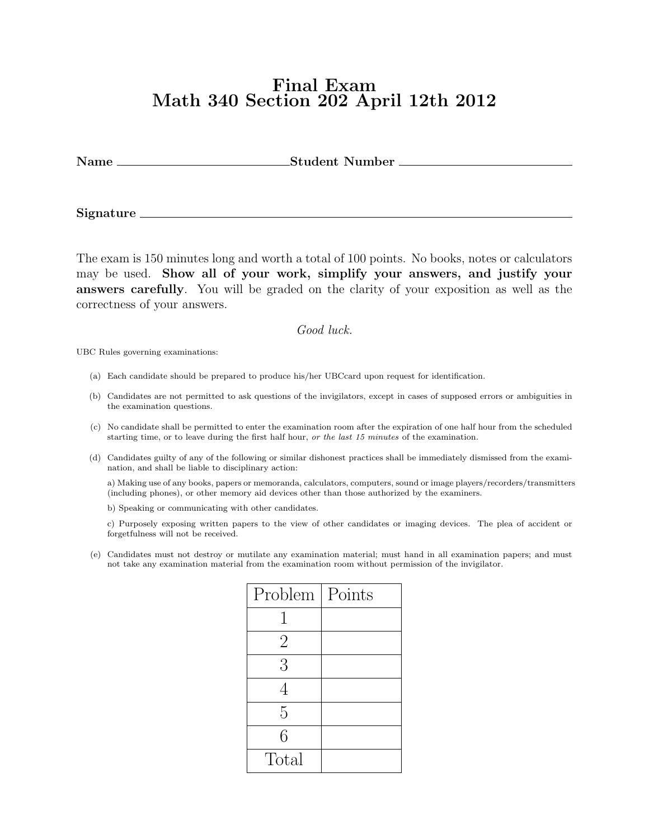## Final Exam Math 340 Section 202 April 12th 2012

| Name | Student Number |
|------|----------------|
|      |                |

Signature

The exam is 150 minutes long and worth a total of 100 points. No books, notes or calculators may be used. Show all of your work, simplify your answers, and justify your answers carefully. You will be graded on the clarity of your exposition as well as the correctness of your answers.

#### Good luck.

UBC Rules governing examinations:

- (a) Each candidate should be prepared to produce his/her UBCcard upon request for identification.
- (b) Candidates are not permitted to ask questions of the invigilators, except in cases of supposed errors or ambiguities in the examination questions.
- (c) No candidate shall be permitted to enter the examination room after the expiration of one half hour from the scheduled starting time, or to leave during the first half hour, or the last 15 minutes of the examination.
- (d) Candidates guilty of any of the following or similar dishonest practices shall be immediately dismissed from the examination, and shall be liable to disciplinary action:

a) Making use of any books, papers or memoranda, calculators, computers, sound or image players/recorders/transmitters (including phones), or other memory aid devices other than those authorized by the examiners.

b) Speaking or communicating with other candidates.

c) Purposely exposing written papers to the view of other candidates or imaging devices. The plea of accident or forgetfulness will not be received.

(e) Candidates must not destroy or mutilate any examination material; must hand in all examination papers; and must not take any examination material from the examination room without permission of the invigilator.

| Problem        | Points |
|----------------|--------|
| 1              |        |
| $\overline{2}$ |        |
| 3              |        |
|                |        |
| 5              |        |
| 6              |        |
| Total          |        |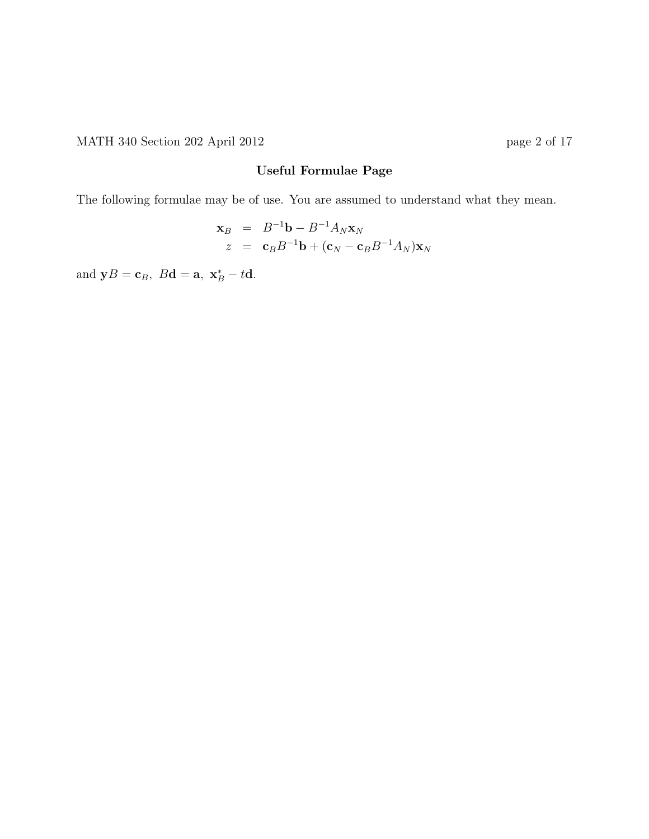MATH 340 Section 202 April 2012 page 2 of 17

# Useful Formulae Page

The following formulae may be of use. You are assumed to understand what they mean.

$$
\mathbf{x}_B = B^{-1}\mathbf{b} - B^{-1}A_N\mathbf{x}_N
$$
  
\n
$$
z = \mathbf{c}_B B^{-1}\mathbf{b} + (\mathbf{c}_N - \mathbf{c}_B B^{-1}A_N)\mathbf{x}_N
$$

and  $yB = c_B$ ,  $Bd = a$ ,  $x_B^* - t d$ .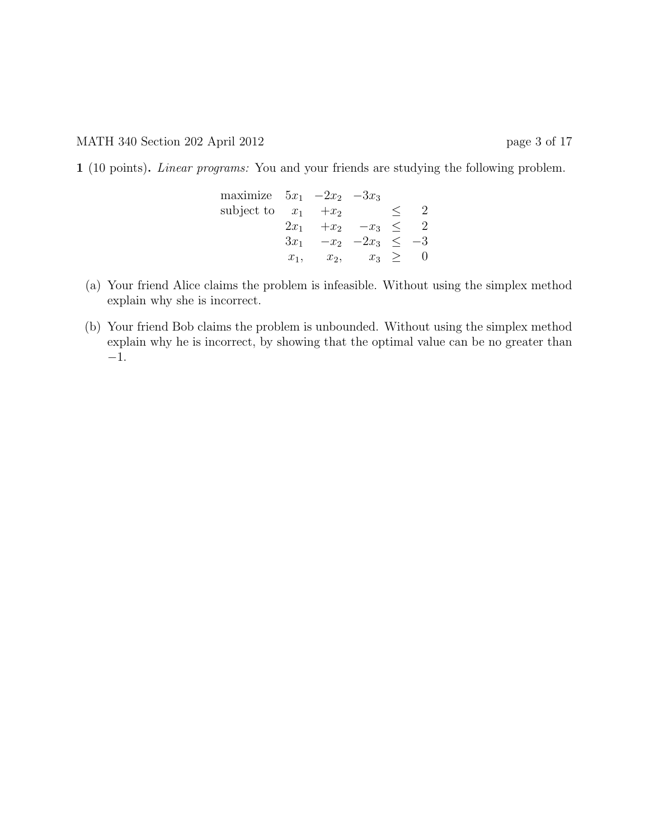1 (10 points). Linear programs: You and your friends are studying the following problem.

maximize 
$$
5x_1 -2x_2 -3x_3
$$
  
\nsubject to  $x_1 + x_2 \le 2$   
\n $2x_1 + x_2 -x_3 \le 2$   
\n $3x_1 -x_2 -2x_3 \le -3$   
\n $x_1, x_2, x_3 \ge 0$ 

- (a) Your friend Alice claims the problem is infeasible. Without using the simplex method explain why she is incorrect.
- (b) Your friend Bob claims the problem is unbounded. Without using the simplex method explain why he is incorrect, by showing that the optimal value can be no greater than −1.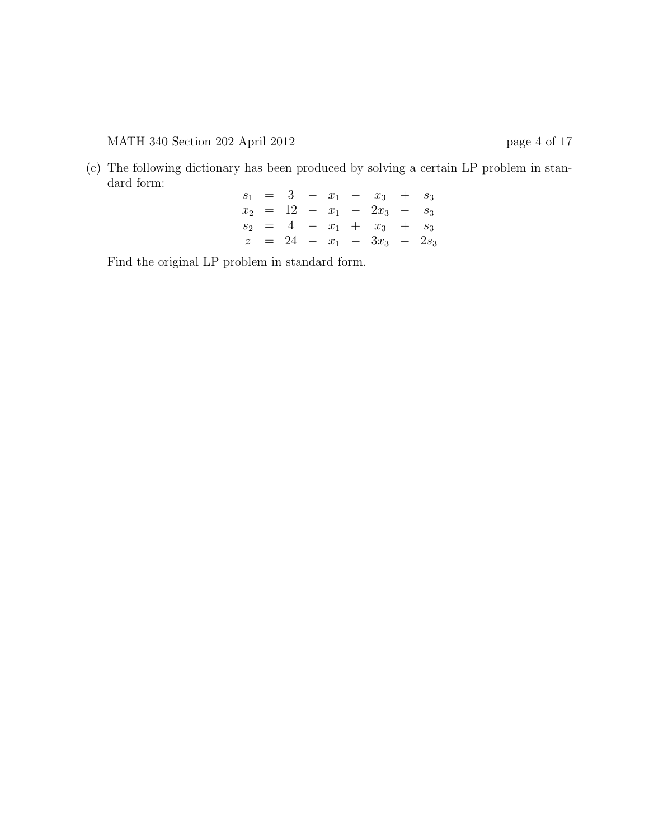MATH 340 Section 202 April 2012 page 4 of 17

(c) The following dictionary has been produced by solving a certain LP problem in standard form:

 $s_1 = 3 - x_1 - x_3 + s_3$  $x_2 = 12 - x_1 - 2x_3 - s_3$  $s_2 = 4 - x_1 + x_3 + s_3$  $z = 24 - x_1 - 3x_3 - 2s_3$ 

Find the original LP problem in standard form.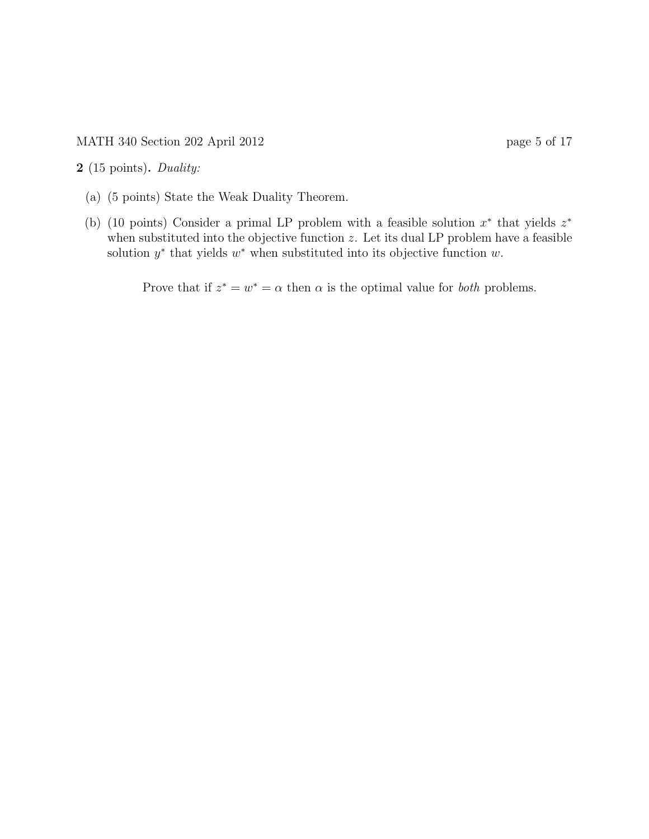### MATH 340 Section 202 April 2012 page 5 of 17

- **2** (15 points). Duality:
	- (a) (5 points) State the Weak Duality Theorem.
	- (b) (10 points) Consider a primal LP problem with a feasible solution  $x^*$  that yields  $z^*$ when substituted into the objective function  $z$ . Let its dual LP problem have a feasible solution  $y^*$  that yields  $w^*$  when substituted into its objective function  $w$ .

Prove that if  $z^* = w^* = \alpha$  then  $\alpha$  is the optimal value for *both* problems.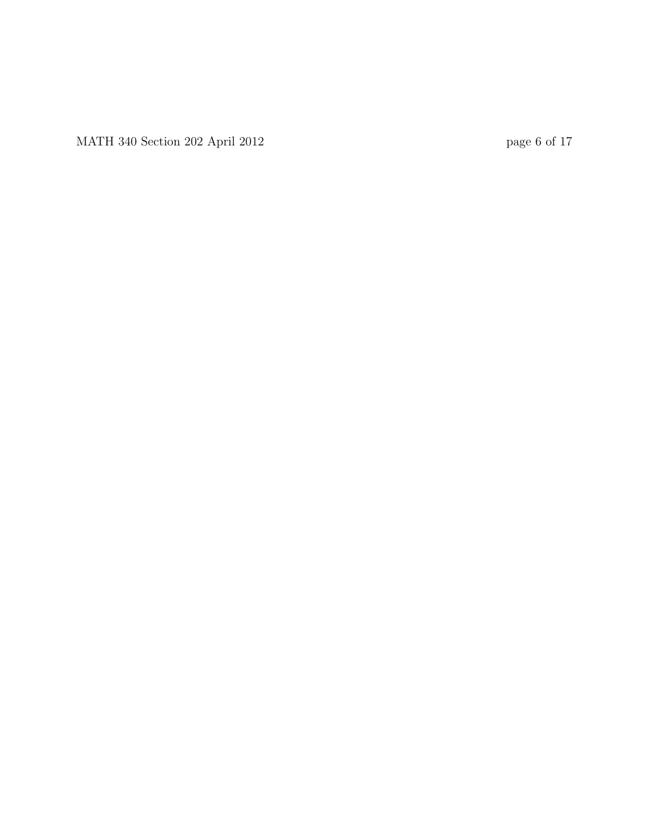MATH 340 Section 202 April 2012 **page 6** of 17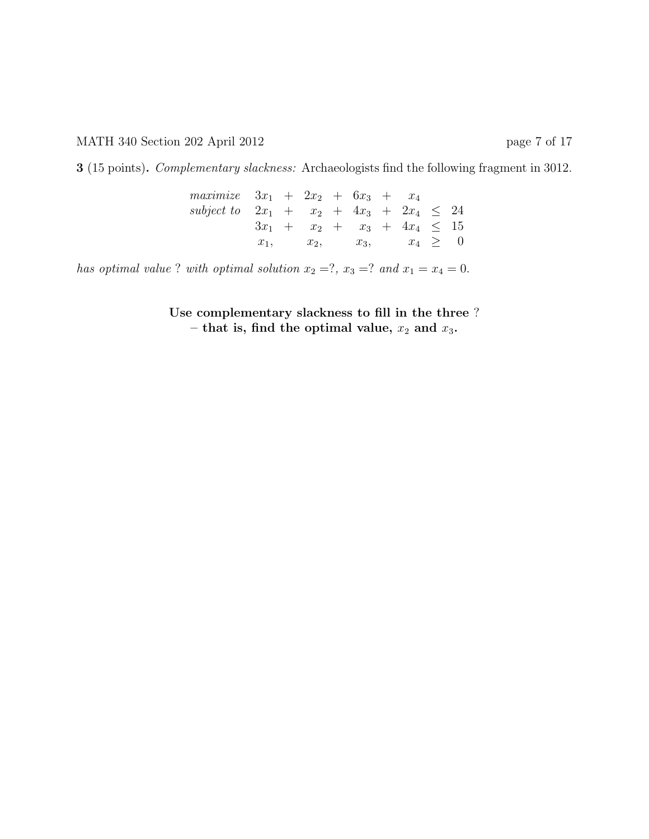3 (15 points). Complementary slackness: Archaeologists find the following fragment in 3012.

maximize  $3x_1 + 2x_2 + 6x_3 + x_4$ subject to  $2x_1 + x_2 + 4x_3 + 2x_4 \leq 24$  $3x_1 + x_2 + x_3 + 4x_4 \leq 15$  $x_1, \t x_2, \t x_3, \t x_4 \geq 0$ 

has optimal value? with optimal solution  $x_2 = ?$ ,  $x_3 = ?$  and  $x_1 = x_4 = 0$ .

Use complementary slackness to fill in the three ? – that is, find the optimal value,  $x_2$  and  $x_3$ .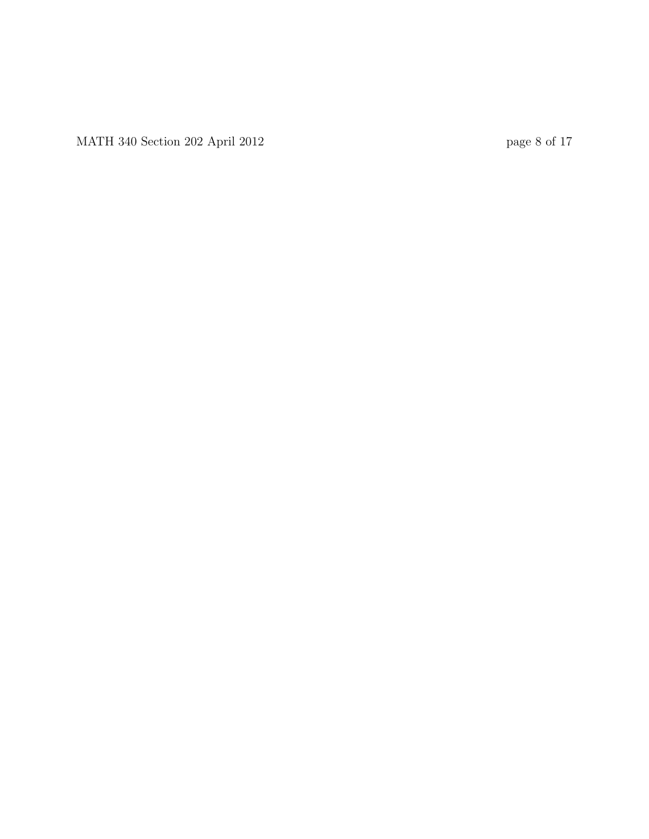MATH 340 Section 202 April 2012 **page 8** of 17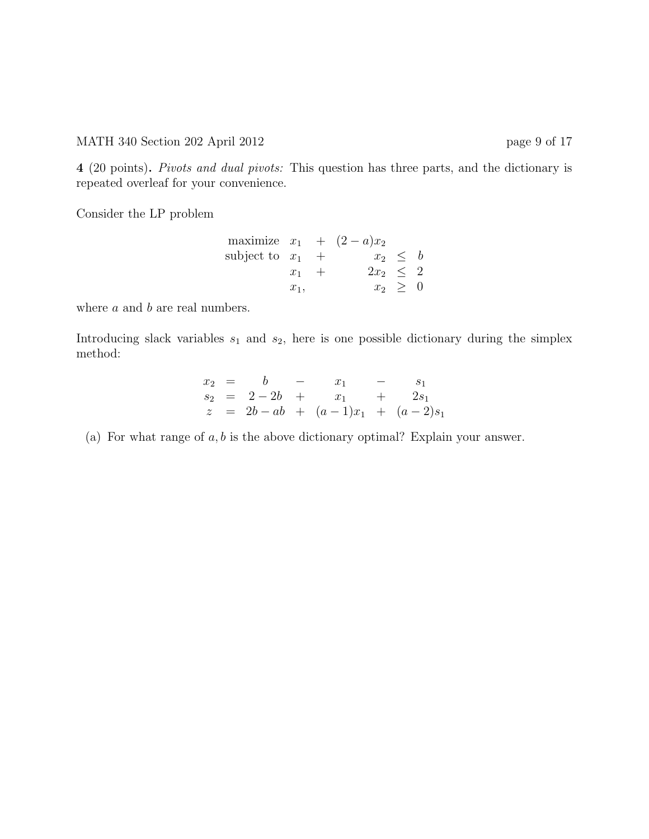#### MATH 340 Section 202 April 2012 **page 9 of 17**

4 (20 points). Pivots and dual pivots: This question has three parts, and the dictionary is repeated overleaf for your convenience.

Consider the LP problem

maximize 
$$
x_1
$$
 +  $(2 - a)x_2$   
\nsubject to  $x_1$  +  $x_2$   $\leq$   $b$   
\n $x_1$  +  $2x_2$   $\leq$  2  
\n $x_1$ ,  $x_2$   $\geq$  0

where  $a$  and  $b$  are real numbers.

Introducing slack variables  $s_1$  and  $s_2$ , here is one possible dictionary during the simplex method:

$$
\begin{array}{rcl}\nx_2 & = & b & - & x_1 & - & s_1 \\
s_2 & = & 2 - 2b & + & x_1 & + & 2s_1 \\
z & = & 2b - ab & + & (a - 1)x_1 & + & (a - 2)s_1\n\end{array}
$$

(a) For what range of  $a, b$  is the above dictionary optimal? Explain your answer.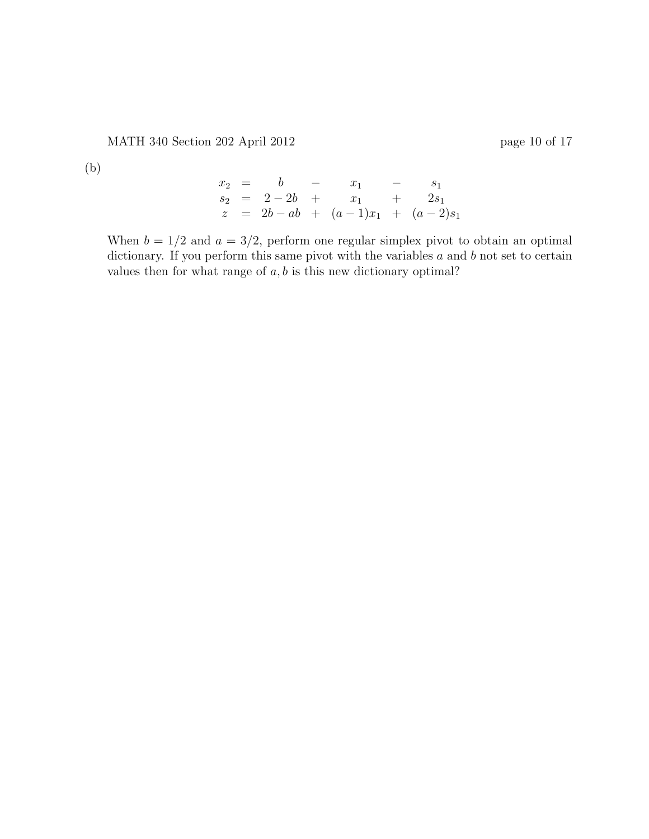MATH 340 Section 202 April 2012 page 10 of 17

(b)

$$
\begin{array}{rcl}\nx_2 & = & b & - & x_1 & - & s_1 \\
s_2 & = & 2 - 2b & + & x_1 & + & 2s_1 \\
z & = & 2b - ab & + & (a - 1)x_1 & + & (a - 2)s_1\n\end{array}
$$

When  $b = 1/2$  and  $a = 3/2$ , perform one regular simplex pivot to obtain an optimal dictionary. If you perform this same pivot with the variables  $a$  and  $b$  not set to certain values then for what range of  $a, b$  is this new dictionary optimal?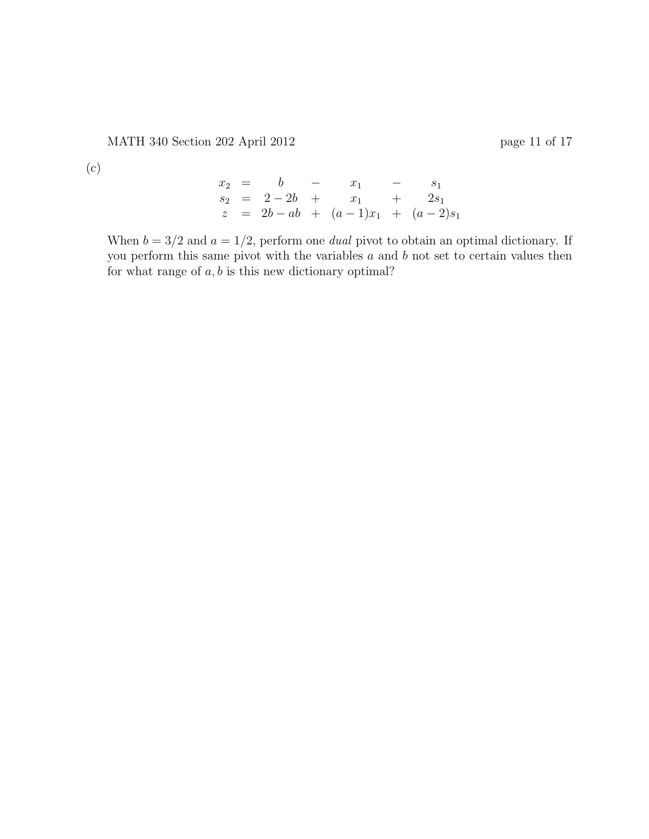MATH 340 Section 202 April 2012 page 11 of 17

(c)

$$
\begin{array}{rcl}\nx_2 & = & b & - & x_1 & - & s_1 \\
s_2 & = & 2 - 2b & + & x_1 & + & 2s_1 \\
z & = & 2b - ab & + & (a - 1)x_1 & + & (a - 2)s_1\n\end{array}
$$

When  $b = 3/2$  and  $a = 1/2$ , perform one *dual* pivot to obtain an optimal dictionary. If you perform this same pivot with the variables  $a$  and  $b$  not set to certain values then for what range of  $a, b$  is this new dictionary optimal?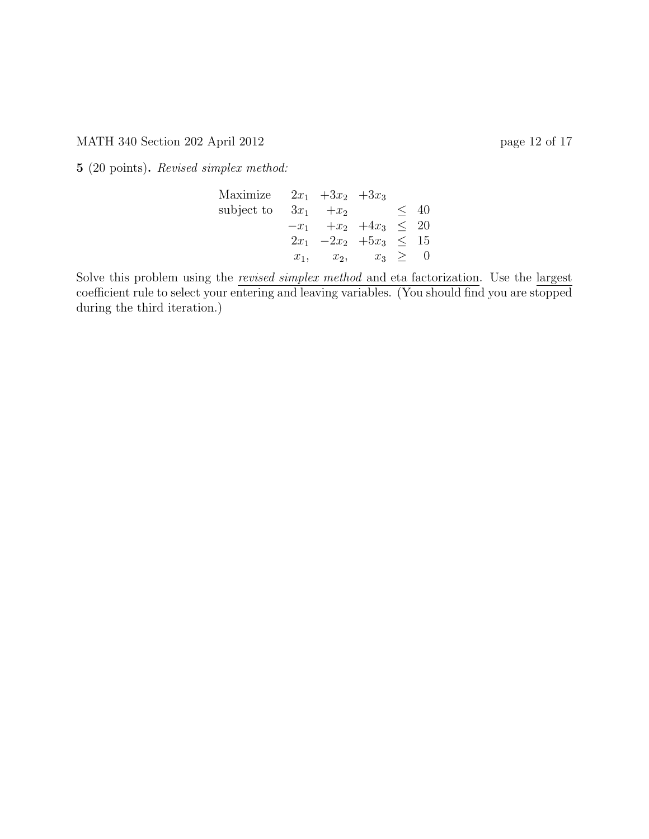### MATH 340 Section 202 April 2012 page 12 of 17

5 (20 points). Revised simplex method:

Maximize 
$$
2x_1 + 3x_2 + 3x_3
$$
  
\nsubject to  $3x_1 + x_2 \le 40$   
\n $-x_1 + x_2 + 4x_3 \le 20$   
\n $2x_1 - 2x_2 + 5x_3 \le 15$   
\n $x_1, x_2, x_3 \ge 0$ 

Solve this problem using the revised simplex method and eta factorization. Use the largest coefficient rule to select your entering and leaving variables. (You should find you are stopped during the third iteration.)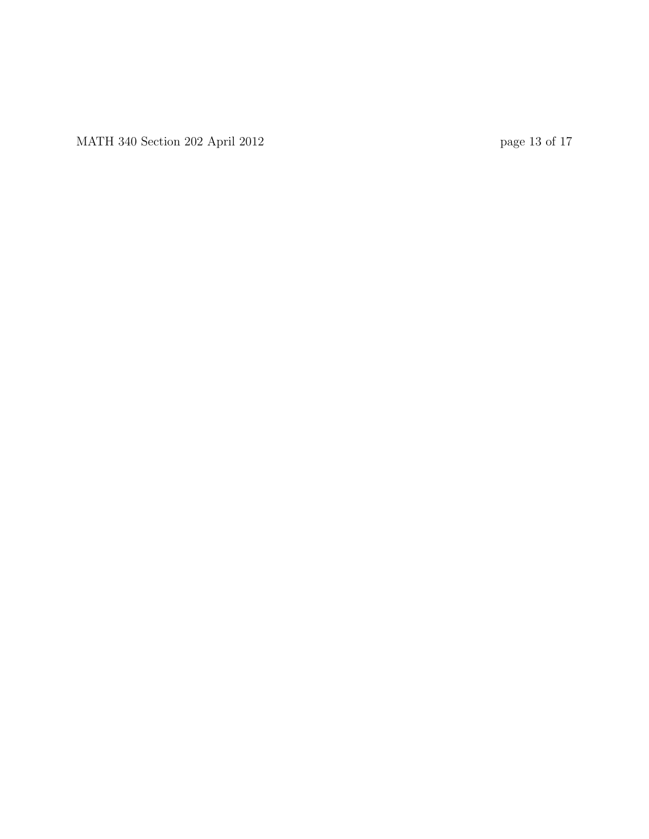MATH 340 Section 202 April 2012 page 13 of 17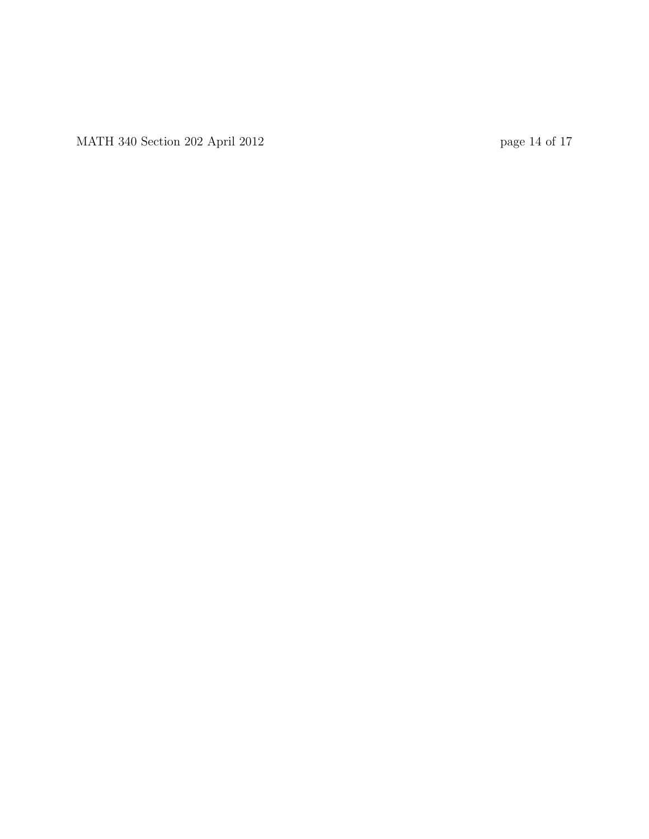MATH 340 Section 202 April 2012 page 14 of 17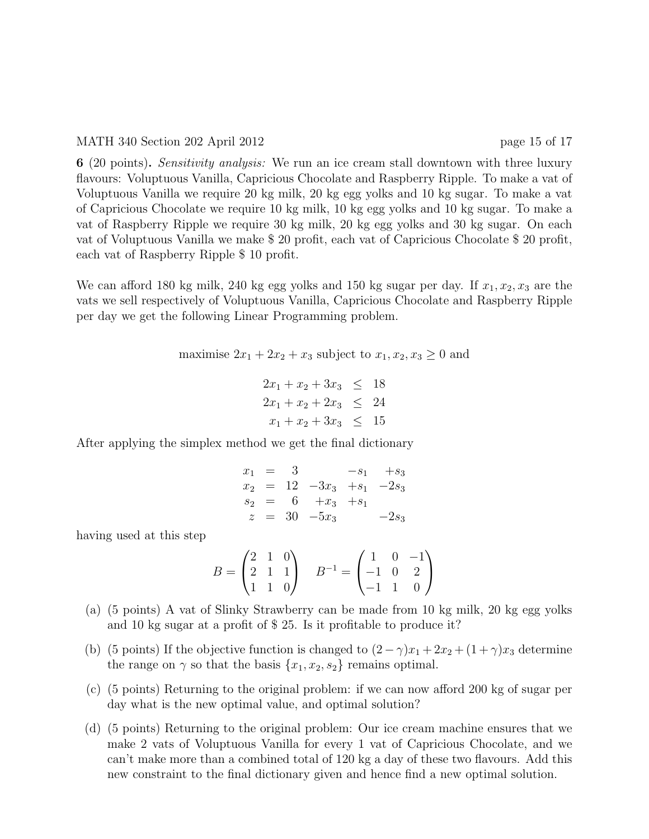6 (20 points). Sensitivity analysis: We run an ice cream stall downtown with three luxury flavours: Voluptuous Vanilla, Capricious Chocolate and Raspberry Ripple. To make a vat of Voluptuous Vanilla we require 20 kg milk, 20 kg egg yolks and 10 kg sugar. To make a vat of Capricious Chocolate we require 10 kg milk, 10 kg egg yolks and 10 kg sugar. To make a vat of Raspberry Ripple we require 30 kg milk, 20 kg egg yolks and 30 kg sugar. On each vat of Voluptuous Vanilla we make \$ 20 profit, each vat of Capricious Chocolate \$ 20 profit, each vat of Raspberry Ripple \$ 10 profit.

We can afford 180 kg milk, 240 kg egg yolks and 150 kg sugar per day. If  $x_1, x_2, x_3$  are the vats we sell respectively of Voluptuous Vanilla, Capricious Chocolate and Raspberry Ripple per day we get the following Linear Programming problem.

maximise  $2x_1 + 2x_2 + x_3$  subject to  $x_1, x_2, x_3 \ge 0$  and

```
2x_1 + x_2 + 3x_3 \leq 182x_1 + x_2 + 2x_3 \leq 24x_1 + x_2 + 3x_3 \leq 15
```
After applying the simplex method we get the final dictionary

| $x_1 = 3$ |                             | $-s_1$ $+s_3$ |
|-----------|-----------------------------|---------------|
|           | $x_2 = 12 -3x_3 +s_1 -2s_3$ |               |
|           | $s_2 = 6 +x_3 +s_1$         |               |
|           | $z = 30 -5x_3$              | $-2s_3$       |

having used at this step

$$
B = \begin{pmatrix} 2 & 1 & 0 \\ 2 & 1 & 1 \\ 1 & 1 & 0 \end{pmatrix} \quad B^{-1} = \begin{pmatrix} 1 & 0 & -1 \\ -1 & 0 & 2 \\ -1 & 1 & 0 \end{pmatrix}
$$

- (a) (5 points) A vat of Slinky Strawberry can be made from 10 kg milk, 20 kg egg yolks and 10 kg sugar at a profit of \$ 25. Is it profitable to produce it?
- (b) (5 points) If the objective function is changed to  $(2 \gamma)x_1 + 2x_2 + (1 + \gamma)x_3$  determine the range on  $\gamma$  so that the basis  $\{x_1, x_2, s_2\}$  remains optimal.
- (c) (5 points) Returning to the original problem: if we can now afford 200 kg of sugar per day what is the new optimal value, and optimal solution?
- (d) (5 points) Returning to the original problem: Our ice cream machine ensures that we make 2 vats of Voluptuous Vanilla for every 1 vat of Capricious Chocolate, and we can't make more than a combined total of 120 kg a day of these two flavours. Add this new constraint to the final dictionary given and hence find a new optimal solution.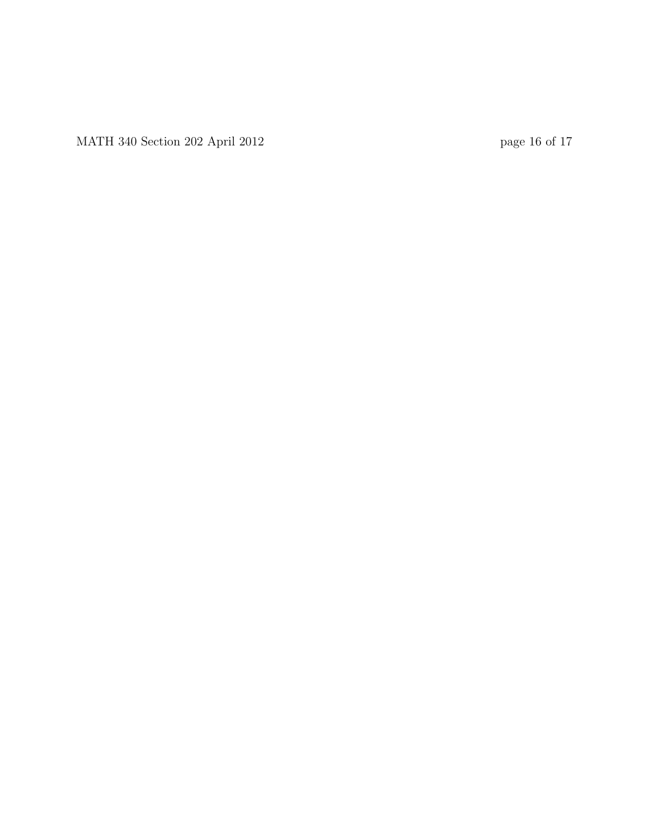MATH 340 Section 202 April 2012 page 16 of 17